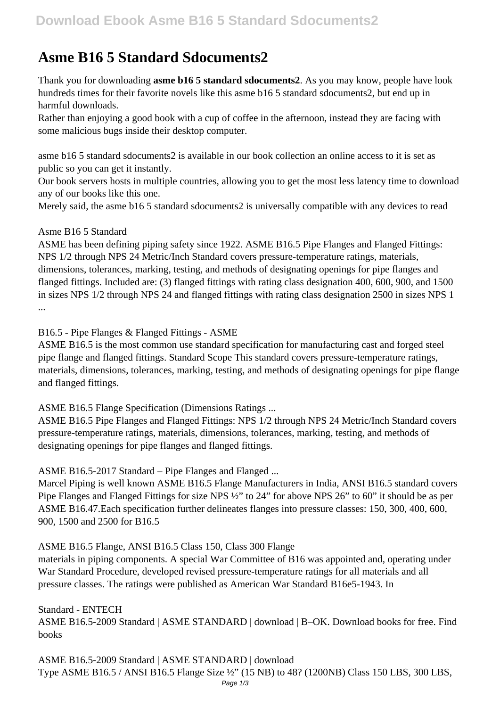# **Asme B16 5 Standard Sdocuments2**

Thank you for downloading **asme b16 5 standard sdocuments2**. As you may know, people have look hundreds times for their favorite novels like this asme b16 5 standard sdocuments2, but end up in harmful downloads.

Rather than enjoying a good book with a cup of coffee in the afternoon, instead they are facing with some malicious bugs inside their desktop computer.

asme b16 5 standard sdocuments2 is available in our book collection an online access to it is set as public so you can get it instantly.

Our book servers hosts in multiple countries, allowing you to get the most less latency time to download any of our books like this one.

Merely said, the asme b16 5 standard sdocuments2 is universally compatible with any devices to read

## Asme B16 5 Standard

ASME has been defining piping safety since 1922. ASME B16.5 Pipe Flanges and Flanged Fittings: NPS 1/2 through NPS 24 Metric/Inch Standard covers pressure-temperature ratings, materials, dimensions, tolerances, marking, testing, and methods of designating openings for pipe flanges and flanged fittings. Included are: (3) flanged fittings with rating class designation 400, 600, 900, and 1500 in sizes NPS 1/2 through NPS 24 and flanged fittings with rating class designation 2500 in sizes NPS 1 ...

## B16.5 - Pipe Flanges & Flanged Fittings - ASME

ASME B16.5 is the most common use standard specification for manufacturing cast and forged steel pipe flange and flanged fittings. Standard Scope This standard covers pressure-temperature ratings, materials, dimensions, tolerances, marking, testing, and methods of designating openings for pipe flange and flanged fittings.

ASME B16.5 Flange Specification (Dimensions Ratings ...

ASME B16.5 Pipe Flanges and Flanged Fittings: NPS 1/2 through NPS 24 Metric/Inch Standard covers pressure-temperature ratings, materials, dimensions, tolerances, marking, testing, and methods of designating openings for pipe flanges and flanged fittings.

ASME B16.5-2017 Standard – Pipe Flanges and Flanged ...

Marcel Piping is well known ASME B16.5 Flange Manufacturers in India, ANSI B16.5 standard covers Pipe Flanges and Flanged Fittings for size NPS ½" to 24" for above NPS 26" to 60" it should be as per ASME B16.47.Each specification further delineates flanges into pressure classes: 150, 300, 400, 600, 900, 1500 and 2500 for B16.5

## ASME B16.5 Flange, ANSI B16.5 Class 150, Class 300 Flange

materials in piping components. A special War Committee of B16 was appointed and, operating under War Standard Procedure, developed revised pressure-temperature ratings for all materials and all pressure classes. The ratings were published as American War Standard B16e5-1943. In

Standard - ENTECH ASME B16.5-2009 Standard | ASME STANDARD | download | B–OK. Download books for free. Find books

ASME B16.5-2009 Standard | ASME STANDARD | download Type ASME B16.5 / ANSI B16.5 Flange Size ½" (15 NB) to 48? (1200NB) Class 150 LBS, 300 LBS,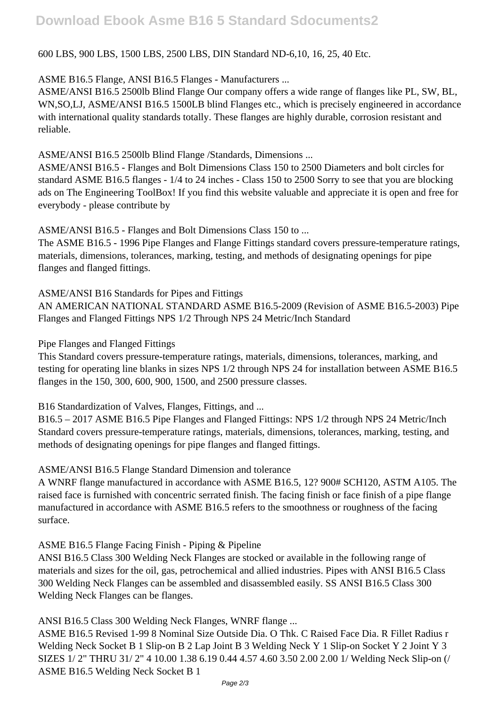# **Download Ebook Asme B16 5 Standard Sdocuments2**

## 600 LBS, 900 LBS, 1500 LBS, 2500 LBS, DIN Standard ND-6,10, 16, 25, 40 Etc.

#### ASME B16.5 Flange, ANSI B16.5 Flanges - Manufacturers ...

ASME/ANSI B16.5 2500lb Blind Flange Our company offers a wide range of flanges like PL, SW, BL, WN,SO,LJ, ASME/ANSI B16.5 1500LB blind Flanges etc., which is precisely engineered in accordance with international quality standards totally. These flanges are highly durable, corrosion resistant and reliable.

#### ASME/ANSI B16.5 2500lb Blind Flange /Standards, Dimensions ...

ASME/ANSI B16.5 - Flanges and Bolt Dimensions Class 150 to 2500 Diameters and bolt circles for standard ASME B16.5 flanges - 1/4 to 24 inches - Class 150 to 2500 Sorry to see that you are blocking ads on The Engineering ToolBox! If you find this website valuable and appreciate it is open and free for everybody - please contribute by

ASME/ANSI B16.5 - Flanges and Bolt Dimensions Class 150 to ...

The ASME B16.5 - 1996 Pipe Flanges and Flange Fittings standard covers pressure-temperature ratings, materials, dimensions, tolerances, marking, testing, and methods of designating openings for pipe flanges and flanged fittings.

#### ASME/ANSI B16 Standards for Pipes and Fittings

AN AMERICAN NATIONAL STANDARD ASME B16.5-2009 (Revision of ASME B16.5-2003) Pipe Flanges and Flanged Fittings NPS 1/2 Through NPS 24 Metric/Inch Standard

#### Pipe Flanges and Flanged Fittings

This Standard covers pressure-temperature ratings, materials, dimensions, tolerances, marking, and testing for operating line blanks in sizes NPS 1/2 through NPS 24 for installation between ASME B16.5 flanges in the 150, 300, 600, 900, 1500, and 2500 pressure classes.

B16 Standardization of Valves, Flanges, Fittings, and ...

B16.5 – 2017 ASME B16.5 Pipe Flanges and Flanged Fittings: NPS 1/2 through NPS 24 Metric/Inch Standard covers pressure-temperature ratings, materials, dimensions, tolerances, marking, testing, and methods of designating openings for pipe flanges and flanged fittings.

#### ASME/ANSI B16.5 Flange Standard Dimension and tolerance

A WNRF flange manufactured in accordance with ASME B16.5, 12? 900# SCH120, ASTM A105. The raised face is furnished with concentric serrated finish. The facing finish or face finish of a pipe flange manufactured in accordance with ASME B16.5 refers to the smoothness or roughness of the facing surface.

#### ASME B16.5 Flange Facing Finish - Piping & Pipeline

ANSI B16.5 Class 300 Welding Neck Flanges are stocked or available in the following range of materials and sizes for the oil, gas, petrochemical and allied industries. Pipes with ANSI B16.5 Class 300 Welding Neck Flanges can be assembled and disassembled easily. SS ANSI B16.5 Class 300 Welding Neck Flanges can be flanges.

## ANSI B16.5 Class 300 Welding Neck Flanges, WNRF flange ...

ASME B16.5 Revised 1-99 8 Nominal Size Outside Dia. O Thk. C Raised Face Dia. R Fillet Radius r Welding Neck Socket B 1 Slip-on B 2 Lap Joint B 3 Welding Neck Y 1 Slip-on Socket Y 2 Joint Y 3 SIZES 1/ 2" THRU 31/ 2" 4 10.00 1.38 6.19 0.44 4.57 4.60 3.50 2.00 2.00 1/ Welding Neck Slip-on (/ ASME B16.5 Welding Neck Socket B 1